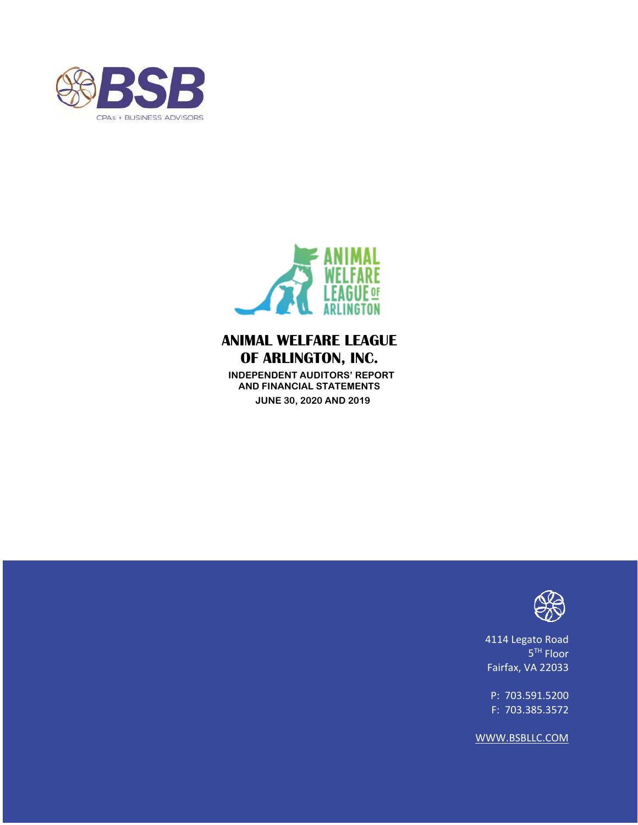



 **INDEPENDENT AUDITORS' REPORT AND FINANCIAL STATEMENTS JUNE 30, 2020 AND 2019** 



4114 Legato Road 5<sup>TH</sup> Floor Fairfax, VA 22033

P: 703.591.5200 F: 703.385.3572

WWW.BSBLLC.COM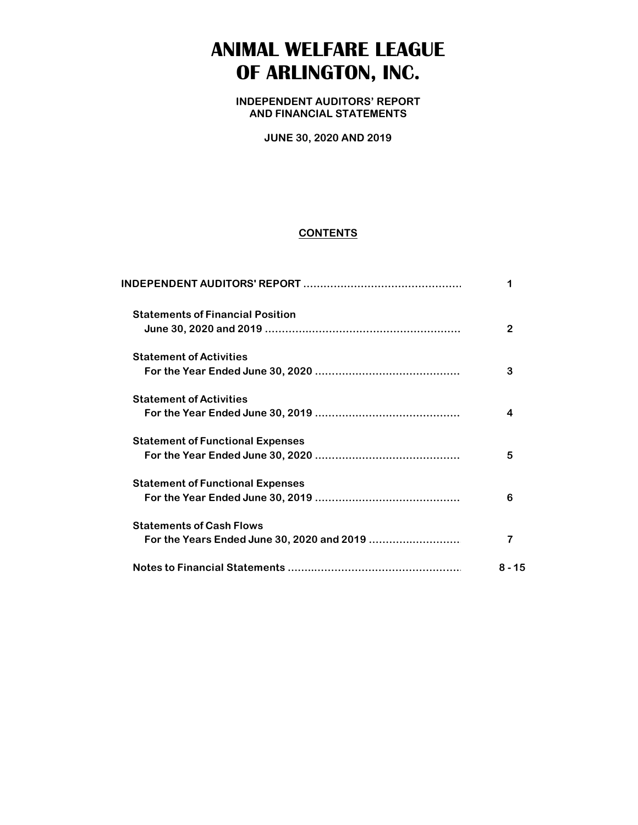**INDEPENDENT AUDITORS' REPORT AND FINANCIAL STATEMENTS**

**JUNE 30, 2020 AND 2019**

#### **CONTENTS**

| <b>Statements of Financial Position</b> |        |
|-----------------------------------------|--------|
|                                         |        |
| <b>Statement of Activities</b>          |        |
|                                         | 3      |
| <b>Statement of Activities</b>          |        |
|                                         |        |
| <b>Statement of Functional Expenses</b> |        |
|                                         | 5      |
| <b>Statement of Functional Expenses</b> |        |
|                                         | 6      |
| <b>Statements of Cash Flows</b>         |        |
|                                         |        |
|                                         | 8 - 15 |
|                                         |        |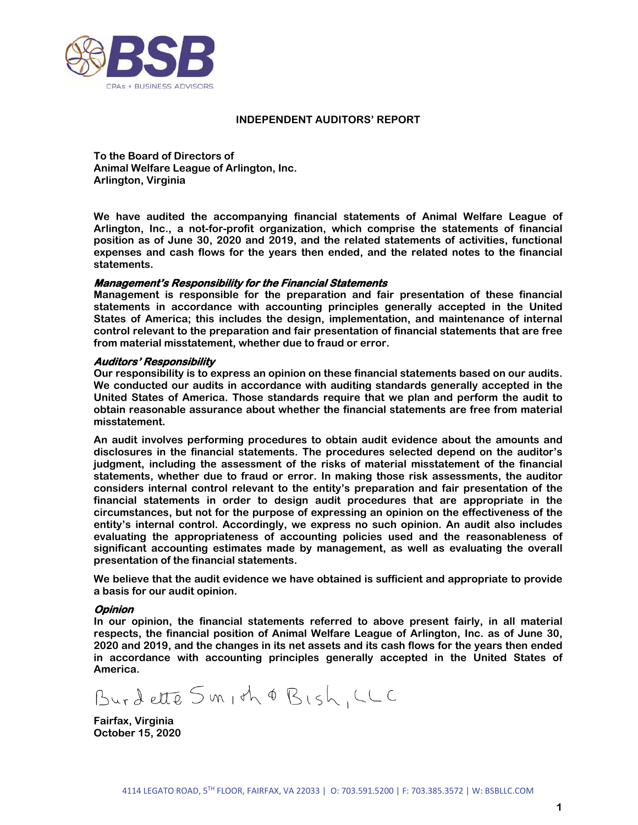

#### **INDEPENDENT AUDITORS' REPORT**

**To the Board of Directors of Animal Welfare League of Arlington, Inc. Arlington, Virginia** 

**We have audited the accompanying financial statements of Animal Welfare League of Arlington, Inc., a not-for-profit organization, which comprise the statements of financial position as of June 30, 2020 and 2019, and the related statements of activities, functional expenses and cash flows for the years then ended, and the related notes to the financial statements.** 

#### **Management's Responsibility for the Financial Statements**

**Management is responsible for the preparation and fair presentation of these financial statements in accordance with accounting principles generally accepted in the United States of America; this includes the design, implementation, and maintenance of internal control relevant to the preparation and fair presentation of financial statements that are free from material misstatement, whether due to fraud or error.** 

#### **Auditors' Responsibility**

**Our responsibility is to express an opinion on these financial statements based on our audits. We conducted our audits in accordance with auditing standards generally accepted in the United States of America. Those standards require that we plan and perform the audit to obtain reasonable assurance about whether the financial statements are free from material misstatement.** 

**An audit involves performing procedures to obtain audit evidence about the amounts and disclosures in the financial statements. The procedures selected depend on the auditor's judgment, including the assessment of the risks of material misstatement of the financial statements, whether due to fraud or error. In making those risk assessments, the auditor considers internal control relevant to the entity's preparation and fair presentation of the financial statements in order to design audit procedures that are appropriate in the circumstances, but not for the purpose of expressing an opinion on the effectiveness of the entity's internal control. Accordingly, we express no such opinion. An audit also includes evaluating the appropriateness of accounting policies used and the reasonableness of significant accounting estimates made by management, as well as evaluating the overall presentation of the financial statements.** 

**We believe that the audit evidence we have obtained is sufficient and appropriate to provide a basis for our audit opinion.** 

#### **Opinion**

**In our opinion, the financial statements referred to above present fairly, in all material respects, the financial position of Animal Welfare League of Arlington, Inc. as of June 30, 2020 and 2019, and the changes in its net assets and its cash flows for the years then ended in accordance with accounting principles generally accepted in the United States of America.** 

Burdette Smith & Bish, LLC

**Fairfax, Virginia October 15, 2020**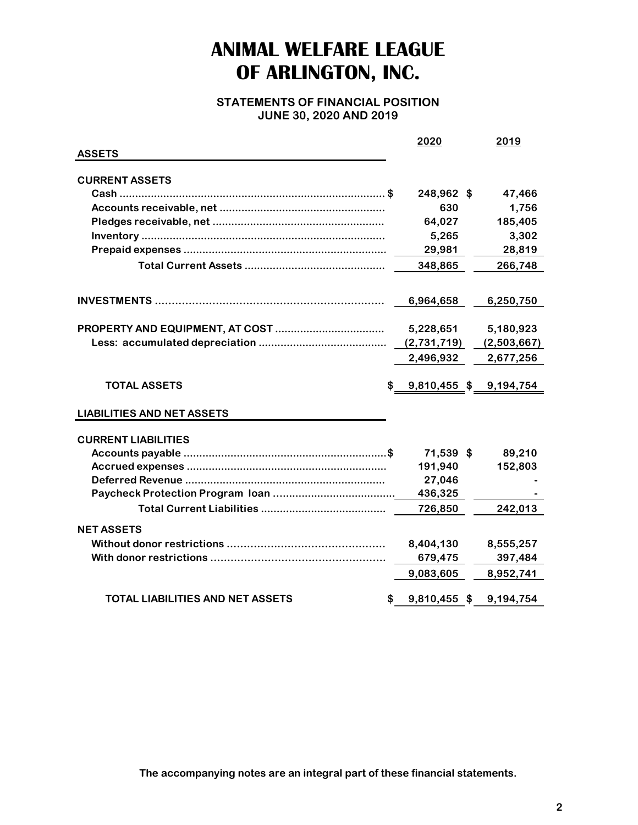**STATEMENTS OF FINANCIAL POSITION JUNE 30, 2020 AND 2019**

|                                   |     | <u> 2020</u> | 2019                   |
|-----------------------------------|-----|--------------|------------------------|
| <b>ASSETS</b>                     |     |              |                        |
|                                   |     |              |                        |
| <b>CURRENT ASSETS</b>             |     |              |                        |
|                                   |     | 248,962 \$   | 47,466                 |
|                                   |     | 630          | 1,756                  |
|                                   |     | 64,027       | 185,405                |
|                                   |     | 5,265        | 3,302                  |
|                                   |     | 29,981       | 28,819                 |
|                                   |     | 348,865      | 266,748                |
|                                   |     |              |                        |
|                                   |     | 6,964,658    | 6,250,750              |
|                                   |     | 5,228,651    | 5,180,923              |
|                                   |     | (2,731,719)  | (2,503,667)            |
|                                   |     | 2,496,932    | 2,677,256              |
| <b>TOTAL ASSETS</b>               | SS. |              | 9,810,455 \$ 9,194,754 |
| <b>LIABILITIES AND NET ASSETS</b> |     |              |                        |
| <b>CURRENT LIABILITIES</b>        |     |              |                        |
|                                   |     | 71,539 \$    | 89,210                 |
|                                   |     | 191,940      | 152,803                |
|                                   |     | 27,046       |                        |
|                                   |     | 436,325      |                        |
|                                   |     | 726,850      | 242,013                |
| <b>NET ASSETS</b>                 |     |              |                        |
|                                   |     | 8,404,130    | 8,555,257              |
|                                   |     | 679,475      | 397,484                |
|                                   |     | 9,083,605    | 8,952,741              |
|                                   |     |              |                        |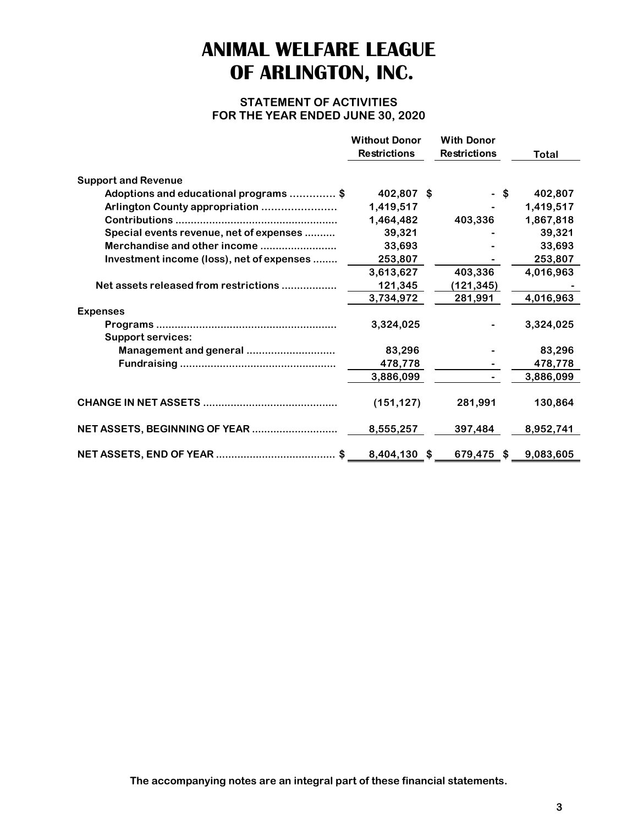### **STATEMENT OF ACTIVITIES FOR THE YEAR ENDED JUNE 30, 2020**

|                                           | <b>Without Donor</b> | <b>With Donor</b>   |           |
|-------------------------------------------|----------------------|---------------------|-----------|
|                                           | <b>Restrictions</b>  | <b>Restrictions</b> | Total     |
| <b>Support and Revenue</b>                |                      |                     |           |
| Adoptions and educational programs \$     | 402,807 \$           | -\$                 | 402,807   |
| Arlington County appropriation            | 1,419,517            |                     | 1,419,517 |
|                                           | 1,464,482            | 403,336             | 1,867,818 |
| Special events revenue, net of expenses   | 39,321               |                     | 39,321    |
| Merchandise and other income              | 33,693               |                     | 33,693    |
| Investment income (loss), net of expenses | 253,807              |                     | 253,807   |
|                                           | 3,613,627            | 403,336             | 4,016,963 |
| Net assets released from restrictions     | 121,345              | (121, 345)          |           |
|                                           | 3,734,972            | 281,991             | 4,016,963 |
| <b>Expenses</b>                           |                      |                     |           |
|                                           | 3,324,025            |                     | 3,324,025 |
| <b>Support services:</b>                  |                      |                     |           |
| Management and general                    | 83,296               |                     | 83,296    |
|                                           | 478,778              |                     | 478,778   |
|                                           | 3,886,099            |                     | 3,886,099 |
|                                           |                      |                     |           |
|                                           | (151, 127)           | 281,991             | 130,864   |
|                                           |                      |                     |           |
|                                           | 8,555,257            | 397,484             | 8,952,741 |
|                                           |                      |                     |           |
|                                           | 8,404,130 \$         | 679,475 \$          | 9,083,605 |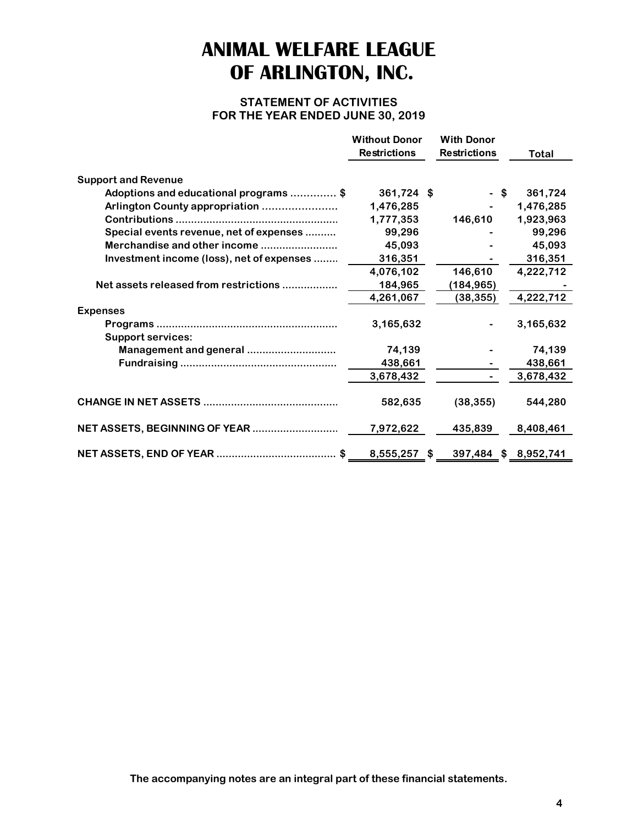### **STATEMENT OF ACTIVITIES FOR THE YEAR ENDED JUNE 30, 2019**

|                                           | <b>Without Donor</b> | <b>With Donor</b>   |                      |
|-------------------------------------------|----------------------|---------------------|----------------------|
|                                           | <b>Restrictions</b>  | <b>Restrictions</b> | <b>Total</b>         |
| <b>Support and Revenue</b>                |                      |                     |                      |
| Adoptions and educational programs \$     | $361,724$ \$         | - \$                | 361,724              |
| Arlington County appropriation            | 1,476,285            |                     | 1,476,285            |
|                                           | 1,777,353            | 146,610             | 1,923,963            |
| Special events revenue, net of expenses   | 99,296               |                     | 99,296               |
| Merchandise and other income              | 45,093               |                     | 45,093               |
| Investment income (loss), net of expenses | 316,351              |                     | 316,351              |
|                                           | 4,076,102            | 146,610             | 4,222,712            |
| Net assets released from restrictions     | 184,965              | (184, 965)          |                      |
|                                           | 4,261,067            | (38, 355)           | 4,222,712            |
| <b>Expenses</b>                           |                      |                     |                      |
|                                           | 3,165,632            |                     | 3,165,632            |
| <b>Support services:</b>                  |                      |                     |                      |
| Management and general                    | 74,139               |                     | 74,139               |
|                                           | 438,661              |                     | 438,661              |
|                                           | 3,678,432            |                     | 3,678,432            |
|                                           |                      |                     |                      |
|                                           | 582,635              | (38, 355)           | 544,280              |
|                                           |                      |                     |                      |
|                                           | 7,972,622            | 435,839             | 8,408,461            |
|                                           |                      |                     |                      |
|                                           | 8,555,257 \$         |                     | 397,484 \$ 8,952,741 |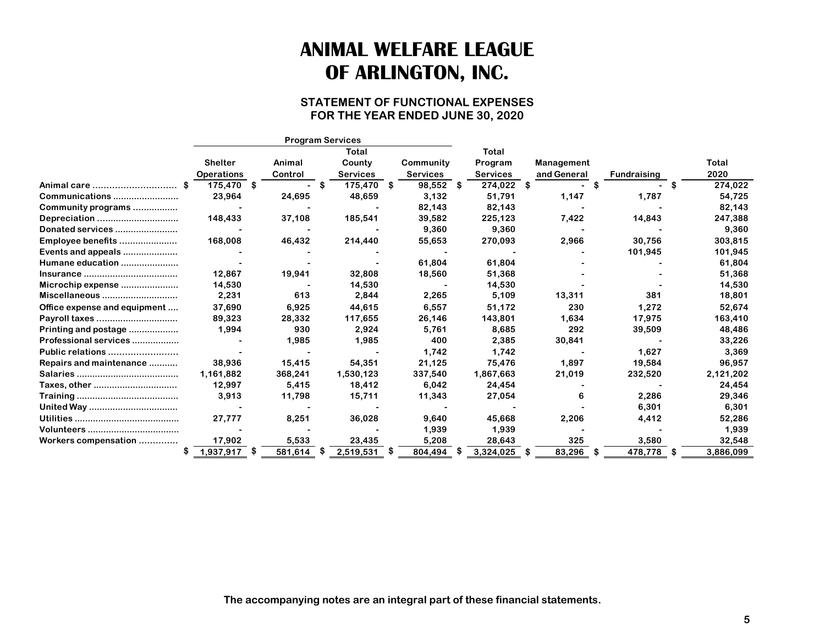### **STATEMENT OF FUNCTIONAL EXPENSES FOR THE YEAR ENDED JUNE 30, 2020**

|                              |    |                   |      |         |      | <b>Program Services</b> |      |                 |      |                 |     |             |      |                    |   |           |
|------------------------------|----|-------------------|------|---------|------|-------------------------|------|-----------------|------|-----------------|-----|-------------|------|--------------------|---|-----------|
|                              |    |                   |      |         |      | Total                   |      |                 |      | Total           |     |             |      |                    |   |           |
|                              |    | <b>Shelter</b>    |      | Animal  |      | County                  |      | Community       |      | Program         |     | Management  |      |                    |   | Total     |
|                              |    | <b>Operations</b> |      | Control |      | <b>Services</b>         |      | <b>Services</b> |      | <b>Services</b> |     | and General |      | <b>Fundraising</b> |   | 2020      |
| Animal care                  |    | 175,470 \$        |      |         |      | 175,470                 | - 36 | 98,552          | - 56 | 274,022         | - 5 |             |      |                    |   | 274,022   |
| Communications               |    | 23,964            |      | 24,695  |      | 48,659                  |      | 3,132           |      | 51,791          |     | 1,147       |      | 1,787              |   | 54,725    |
| Community programs           |    |                   |      |         |      |                         |      | 82,143          |      | 82,143          |     |             |      |                    |   | 82,143    |
| Depreciation                 |    | 148,433           |      | 37,108  |      | 185,541                 |      | 39,582          |      | 225,123         |     | 7,422       |      | 14,843             |   | 247,388   |
| Donated services             |    |                   |      |         |      |                         |      | 9,360           |      | 9,360           |     |             |      |                    |   | 9,360     |
| Employee benefits            |    | 168,008           |      | 46,432  |      | 214,440                 |      | 55,653          |      | 270,093         |     | 2,966       |      | 30,756             |   | 303,815   |
| Events and appeals           |    |                   |      |         |      |                         |      |                 |      |                 |     |             |      | 101,945            |   | 101,945   |
| Humane education             |    |                   |      |         |      |                         |      | 61,804          |      | 61,804          |     |             |      |                    |   | 61,804    |
|                              |    | 12,867            |      | 19,941  |      | 32,808                  |      | 18,560          |      | 51,368          |     |             |      |                    |   | 51,368    |
| Microchip expense            |    | 14,530            |      |         |      | 14,530                  |      |                 |      | 14,530          |     |             |      |                    |   | 14,530    |
| Miscellaneous                |    | 2,231             |      | 613     |      | 2,844                   |      | 2,265           |      | 5,109           |     | 13,311      |      | 381                |   | 18,801    |
| Office expense and equipment |    | 37,690            |      | 6,925   |      | 44,615                  |      | 6,557           |      | 51,172          |     | 230         |      | 1,272              |   | 52,674    |
| Payroll taxes                |    | 89,323            |      | 28,332  |      | 117,655                 |      | 26,146          |      | 143,801         |     | 1,634       |      | 17,975             |   | 163,410   |
| Printing and postage         |    | 1,994             |      | 930     |      | 2,924                   |      | 5,761           |      | 8,685           |     | 292         |      | 39,509             |   | 48,486    |
| Professional services        |    |                   |      | 1,985   |      | 1,985                   |      | 400             |      | 2,385           |     | 30,841      |      |                    |   | 33,226    |
| Public relations             |    |                   |      |         |      |                         |      | 1.742           |      | 1,742           |     |             |      | 1,627              |   | 3,369     |
| Repairs and maintenance      |    | 38,936            |      | 15,415  |      | 54,351                  |      | 21,125          |      | 75,476          |     | 1,897       |      | 19,584             |   | 96,957    |
|                              |    | 1,161,882         |      | 368,241 |      | 1,530,123               |      | 337,540         |      | 1,867,663       |     | 21,019      |      | 232,520            |   | 2,121,202 |
| Taxes, other                 |    | 12,997            |      | 5,415   |      | 18,412                  |      | 6,042           |      | 24,454          |     |             |      |                    |   | 24,454    |
|                              |    | 3,913             |      | 11,798  |      | 15,711                  |      | 11,343          |      | 27,054          |     | 6           |      | 2,286              |   | 29,346    |
|                              |    |                   |      |         |      |                         |      |                 |      |                 |     |             |      | 6,301              |   | 6,301     |
|                              |    | 27,777            |      | 8,251   |      | 36,028                  |      | 9,640           |      | 45,668          |     | 2,206       |      | 4,412              |   | 52,286    |
|                              |    |                   |      |         |      |                         |      | 1,939           |      | 1,939           |     |             |      |                    |   | 1,939     |
| Workers compensation         |    | 17,902            |      | 5,533   |      | 23,435                  |      | 5,208           |      | 28,643          |     | 325         |      | 3,580              |   | 32,548    |
|                              | S. | 1,937,917         | - 35 | 581,614 | - 56 | 2,519,531               |      | 804,494         |      | 3,324,025       |     | 83,296      | - 56 | 478,778            | S | 3,886,099 |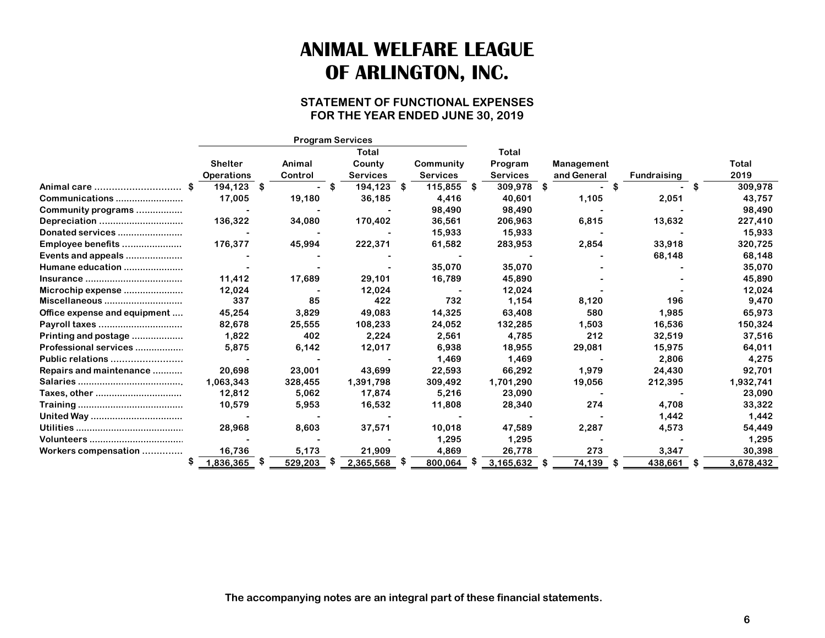### **STATEMENT OF FUNCTIONAL EXPENSES FOR THE YEAR ENDED JUNE 30, 2019**

|                              |    |                   | <b>Program Services</b> |     |                 |   |                 |                 |             |      |                    |    |           |
|------------------------------|----|-------------------|-------------------------|-----|-----------------|---|-----------------|-----------------|-------------|------|--------------------|----|-----------|
|                              |    |                   |                         |     | Total           |   |                 | Total           |             |      |                    |    |           |
|                              |    | <b>Shelter</b>    | Animal                  |     | County          |   | Community       | Program         | Management  |      |                    |    | Total     |
|                              |    | <b>Operations</b> | Control                 |     | <b>Services</b> |   | <b>Services</b> | <b>Services</b> | and General |      | <b>Fundraising</b> |    | 2019      |
| Animal care                  |    | 194.123 \$        |                         | -SS | 194,123         | S | 115,855 \$      | 309,978         | \$          |      |                    | S  | 309,978   |
| Communications               |    | 17,005            | 19,180                  |     | 36,185          |   | 4,416           | 40,601          | 1,105       |      | 2,051              |    | 43,757    |
| Community programs           |    |                   |                         |     |                 |   | 98,490          | 98,490          |             |      |                    |    | 98,490    |
| Depreciation                 |    | 136,322           | 34,080                  |     | 170,402         |   | 36,561          | 206,963         | 6,815       |      | 13,632             |    | 227,410   |
| Donated services             |    |                   |                         |     |                 |   | 15,933          | 15,933          |             |      |                    |    | 15,933    |
| Employee benefits            |    | 176,377           | 45,994                  |     | 222,371         |   | 61,582          | 283,953         | 2,854       |      | 33,918             |    | 320,725   |
| Events and appeals           |    |                   |                         |     |                 |   |                 |                 |             |      | 68,148             |    | 68,148    |
| Humane education             |    |                   |                         |     |                 |   | 35,070          | 35,070          |             |      |                    |    | 35,070    |
|                              |    | 11,412            | 17,689                  |     | 29,101          |   | 16,789          | 45,890          |             |      |                    |    | 45,890    |
| Microchip expense            |    | 12,024            |                         |     | 12,024          |   |                 | 12,024          |             |      |                    |    | 12,024    |
| Miscellaneous                |    | 337               | 85                      |     | 422             |   | 732             | 1,154           | 8,120       |      | 196                |    | 9,470     |
| Office expense and equipment |    | 45,254            | 3,829                   |     | 49,083          |   | 14,325          | 63,408          | 580         |      | 1,985              |    | 65,973    |
| Payroll taxes                |    | 82,678            | 25,555                  |     | 108,233         |   | 24,052          | 132,285         | 1,503       |      | 16,536             |    | 150,324   |
| Printing and postage         |    | 1,822             | 402                     |     | 2,224           |   | 2,561           | 4,785           | 212         |      | 32,519             |    | 37,516    |
| Professional services        |    | 5,875             | 6,142                   |     | 12,017          |   | 6,938           | 18,955          | 29,081      |      | 15,975             |    | 64,011    |
| Public relations             |    |                   |                         |     |                 |   | 1,469           | 1,469           |             |      | 2,806              |    | 4,275     |
| Repairs and maintenance      |    | 20,698            | 23,001                  |     | 43,699          |   | 22,593          | 66,292          | 1,979       |      | 24,430             |    | 92,701    |
|                              |    | 1,063,343         | 328,455                 |     | 1,391,798       |   | 309,492         | 1,701,290       | 19,056      |      | 212,395            |    | 1,932,741 |
| Taxes, other                 |    | 12,812            | 5,062                   |     | 17,874          |   | 5,216           | 23,090          |             |      |                    |    | 23,090    |
|                              |    | 10,579            | 5,953                   |     | 16,532          |   | 11,808          | 28,340          | 274         |      | 4,708              |    | 33,322    |
|                              |    |                   |                         |     |                 |   |                 |                 |             |      | 1,442              |    | 1,442     |
|                              |    | 28,968            | 8,603                   |     | 37,571          |   | 10,018          | 47,589          | 2,287       |      | 4,573              |    | 54,449    |
|                              |    |                   |                         |     |                 |   | 1,295           | 1,295           |             |      |                    |    | 1,295     |
| Workers compensation         |    | 16,736            | 5,173                   |     | 21,909          |   | 4,869           | 26,778          | 273         |      | 3,347              |    | 30,398    |
|                              | æ. | 1,836,365         | 529,203                 |     | 2,365,568       |   | 800,064         | 3,165,632       | 74,139      | - 36 | 438,661            | \$ | 3,678,432 |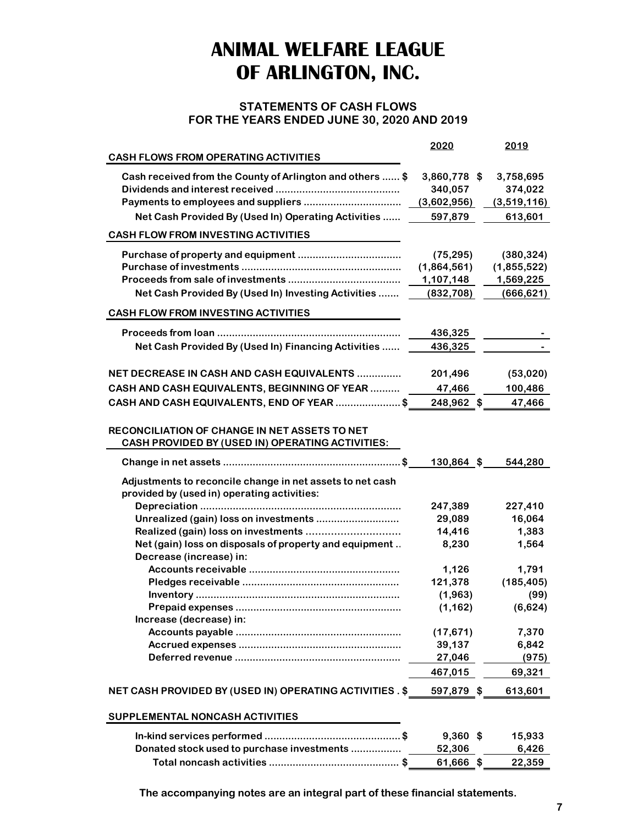### **STATEMENTS OF CASH FLOWS FOR THE YEARS ENDED JUNE 30, 2020 AND 2019**

|                                                                                                          | 2020              | 2019              |
|----------------------------------------------------------------------------------------------------------|-------------------|-------------------|
| <b>CASH FLOWS FROM OPERATING ACTIVITIES</b>                                                              |                   |                   |
| Cash received from the County of Arlington and others  \$                                                | 3,860,778 \$      | 3,758,695         |
|                                                                                                          | 340,057           | 374,022           |
|                                                                                                          | (3,602,956)       | (3,519,116)       |
| Net Cash Provided By (Used In) Operating Activities                                                      | 597,879           | 613,601           |
| <b>CASH FLOW FROM INVESTING ACTIVITIES</b>                                                               |                   |                   |
|                                                                                                          | (75, 295)         | (380, 324)        |
|                                                                                                          | (1,864,561)       | (1,855,522)       |
|                                                                                                          | 1,107,148         | 1,569,225         |
| Net Cash Provided By (Used In) Investing Activities                                                      | (832, 708)        | (666, 621)        |
| <b>CASH FLOW FROM INVESTING ACTIVITIES</b>                                                               |                   |                   |
|                                                                                                          |                   |                   |
|                                                                                                          | 436,325           |                   |
| Net Cash Provided By (Used In) Financing Activities                                                      | 436,325           |                   |
| NET DECREASE IN CASH AND CASH EQUIVALENTS                                                                | 201,496           | (53,020)          |
| CASH AND CASH EQUIVALENTS, BEGINNING OF YEAR  17,466                                                     |                   | 100,486           |
| CASH AND CASH EQUIVALENTS, END OF YEAR \$                                                                | 248,962 \$        | 47,466            |
|                                                                                                          |                   |                   |
| <b>RECONCILIATION OF CHANGE IN NET ASSETS TO NET</b><br>CASH PROVIDED BY (USED IN) OPERATING ACTIVITIES: |                   |                   |
|                                                                                                          | $130,864$ \$      | 544,280           |
|                                                                                                          |                   |                   |
| Adjustments to reconcile change in net assets to net cash                                                |                   |                   |
| provided by (used in) operating activities:                                                              |                   |                   |
|                                                                                                          | 247,389<br>29,089 | 227,410<br>16,064 |
| Unrealized (gain) loss on investments                                                                    | 14,416            | 1,383             |
| Net (gain) loss on disposals of property and equipment.                                                  | 8,230             | 1,564             |
| Decrease (increase) in:                                                                                  |                   |                   |
|                                                                                                          | 1,126             | 1,791             |
|                                                                                                          | 121,378           | (185, 405)        |
|                                                                                                          | (1,963)           | (99)              |
|                                                                                                          | (1, 162)          | (6,624)           |
| Increase (decrease) in:                                                                                  |                   |                   |
|                                                                                                          | (17, 671)         | 7,370             |
|                                                                                                          | 39,137            | 6,842             |
|                                                                                                          | 27,046            | (975)             |
|                                                                                                          | 467,015           | 69,321            |
| NET CASH PROVIDED BY (USED IN) OPERATING ACTIVITIES . \$                                                 | 597,879 \$        | 613,601           |
| SUPPLEMENTAL NONCASH ACTIVITIES                                                                          |                   |                   |
|                                                                                                          |                   |                   |
|                                                                                                          | $9,360$ \$        | 15,933            |
| Donated stock used to purchase investments                                                               | 52,306            | 6,426             |
|                                                                                                          | 61,666 \$         | 22,359            |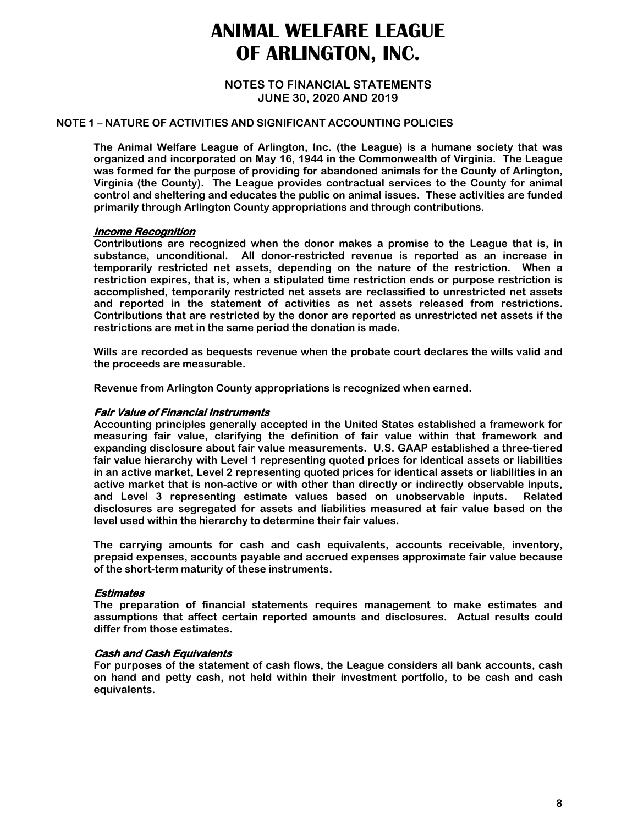#### **NOTES TO FINANCIAL STATEMENTS JUNE 30, 2020 AND 2019**

#### **NOTE 1 – NATURE OF ACTIVITIES AND SIGNIFICANT ACCOUNTING POLICIES**

**The Animal Welfare League of Arlington, Inc. (the League) is a humane society that was organized and incorporated on May 16, 1944 in the Commonwealth of Virginia. The League was formed for the purpose of providing for abandoned animals for the County of Arlington, Virginia (the County). The League provides contractual services to the County for animal control and sheltering and educates the public on animal issues. These activities are funded primarily through Arlington County appropriations and through contributions.** 

#### **Income Recognition**

**Contributions are recognized when the donor makes a promise to the League that is, in substance, unconditional. All donor-restricted revenue is reported as an increase in temporarily restricted net assets, depending on the nature of the restriction. When a restriction expires, that is, when a stipulated time restriction ends or purpose restriction is accomplished, temporarily restricted net assets are reclassified to unrestricted net assets and reported in the statement of activities as net assets released from restrictions. Contributions that are restricted by the donor are reported as unrestricted net assets if the restrictions are met in the same period the donation is made.** 

**Wills are recorded as bequests revenue when the probate court declares the wills valid and the proceeds are measurable.** 

**Revenue from Arlington County appropriations is recognized when earned.** 

#### **Fair Value of Financial Instruments**

**Accounting principles generally accepted in the United States established a framework for measuring fair value, clarifying the definition of fair value within that framework and expanding disclosure about fair value measurements. U.S. GAAP established a three-tiered fair value hierarchy with Level 1 representing quoted prices for identical assets or liabilities in an active market, Level 2 representing quoted prices for identical assets or liabilities in an active market that is non-active or with other than directly or indirectly observable inputs, and Level 3 representing estimate values based on unobservable inputs. Related disclosures are segregated for assets and liabilities measured at fair value based on the level used within the hierarchy to determine their fair values.** 

**The carrying amounts for cash and cash equivalents, accounts receivable, inventory, prepaid expenses, accounts payable and accrued expenses approximate fair value because of the short-term maturity of these instruments.** 

#### **Estimates**

**The preparation of financial statements requires management to make estimates and assumptions that affect certain reported amounts and disclosures. Actual results could differ from those estimates.** 

#### **Cash and Cash Equivalents**

**For purposes of the statement of cash flows, the League considers all bank accounts, cash on hand and petty cash, not held within their investment portfolio, to be cash and cash equivalents.**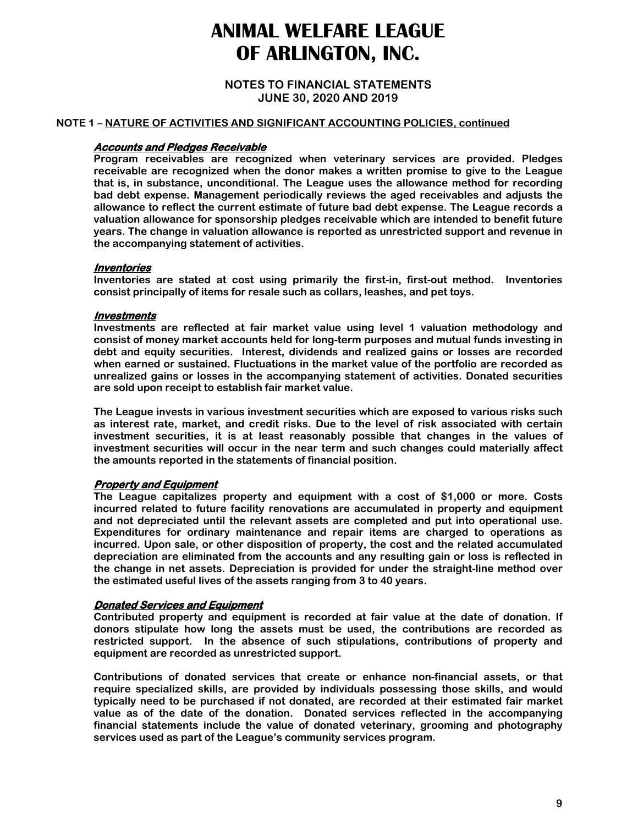**NOTES TO FINANCIAL STATEMENTS JUNE 30, 2020 AND 2019**

#### **NOTE 1 – NATURE OF ACTIVITIES AND SIGNIFICANT ACCOUNTING POLICIES, continued**

#### **Accounts and Pledges Receivable**

**Program receivables are recognized when veterinary services are provided. Pledges receivable are recognized when the donor makes a written promise to give to the League that is, in substance, unconditional. The League uses the allowance method for recording bad debt expense. Management periodically reviews the aged receivables and adjusts the allowance to reflect the current estimate of future bad debt expense. The League records a valuation allowance for sponsorship pledges receivable which are intended to benefit future years. The change in valuation allowance is reported as unrestricted support and revenue in the accompanying statement of activities.** 

#### **Inventories**

**Inventories are stated at cost using primarily the first-in, first-out method. Inventories consist principally of items for resale such as collars, leashes, and pet toys.** 

#### **Investments**

**Investments are reflected at fair market value using level 1 valuation methodology and consist of money market accounts held for long-term purposes and mutual funds investing in debt and equity securities. Interest, dividends and realized gains or losses are recorded when earned or sustained. Fluctuations in the market value of the portfolio are recorded as unrealized gains or losses in the accompanying statement of activities. Donated securities are sold upon receipt to establish fair market value.** 

**The League invests in various investment securities which are exposed to various risks such as interest rate, market, and credit risks. Due to the level of risk associated with certain investment securities, it is at least reasonably possible that changes in the values of investment securities will occur in the near term and such changes could materially affect the amounts reported in the statements of financial position.** 

#### **Property and Equipment**

**The League capitalizes property and equipment with a cost of \$1,000 or more. Costs incurred related to future facility renovations are accumulated in property and equipment and not depreciated until the relevant assets are completed and put into operational use. Expenditures for ordinary maintenance and repair items are charged to operations as incurred. Upon sale, or other disposition of property, the cost and the related accumulated depreciation are eliminated from the accounts and any resulting gain or loss is reflected in the change in net assets. Depreciation is provided for under the straight-line method over the estimated useful lives of the assets ranging from 3 to 40 years.** 

#### **Donated Services and Equipment**

**Contributed property and equipment is recorded at fair value at the date of donation. If donors stipulate how long the assets must be used, the contributions are recorded as restricted support. In the absence of such stipulations, contributions of property and equipment are recorded as unrestricted support.** 

**Contributions of donated services that create or enhance non-financial assets, or that require specialized skills, are provided by individuals possessing those skills, and would typically need to be purchased if not donated, are recorded at their estimated fair market value as of the date of the donation. Donated services reflected in the accompanying financial statements include the value of donated veterinary, grooming and photography services used as part of the League's community services program.**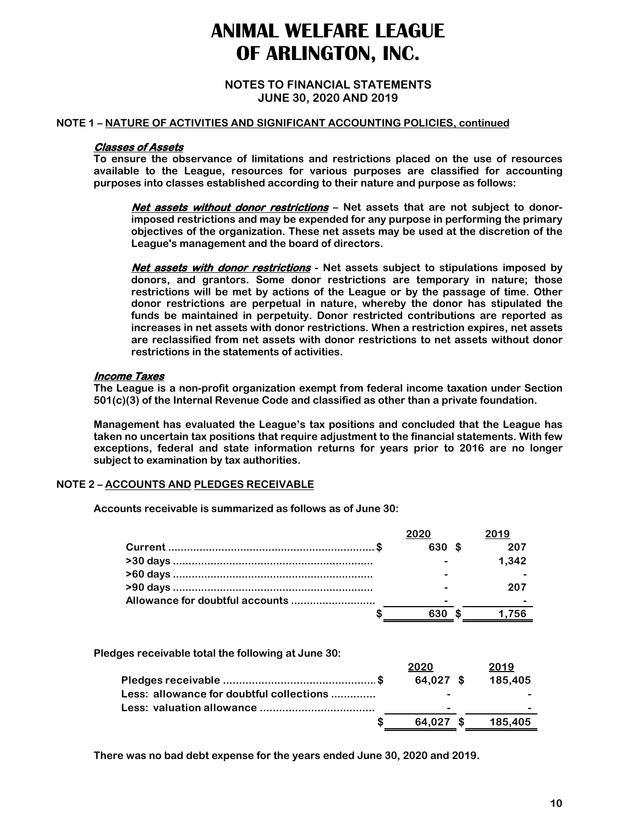#### **NOTES TO FINANCIAL STATEMENTS JUNE 30, 2020 AND 2019**

#### **NOTE 1 – NATURE OF ACTIVITIES AND SIGNIFICANT ACCOUNTING POLICIES, continued**

#### **Classes of Assets**

**To ensure the observance of limitations and restrictions placed on the use of resources available to the League, resources for various purposes are classified for accounting purposes into classes established according to their nature and purpose as follows:** 

**Net assets without donor restrictions – Net assets that are not subject to donorimposed restrictions and may be expended for any purpose in performing the primary objectives of the organization. These net assets may be used at the discretion of the League's management and the board of directors.** 

**Net assets with donor restrictions - Net assets subject to stipulations imposed by donors, and grantors. Some donor restrictions are temporary in nature; those restrictions will be met by actions of the League or by the passage of time. Other donor restrictions are perpetual in nature, whereby the donor has stipulated the funds be maintained in perpetuity. Donor restricted contributions are reported as increases in net assets with donor restrictions. When a restriction expires, net assets are reclassified from net assets with donor restrictions to net assets without donor restrictions in the statements of activities.** 

#### **Income Taxes**

**The League is a non-profit organization exempt from federal income taxation under Section 501(c)(3) of the Internal Revenue Code and classified as other than a private foundation.** 

**Management has evaluated the League's tax positions and concluded that the League has taken no uncertain tax positions that require adjustment to the financial statements. With few exceptions, federal and state information returns for years prior to 2016 are no longer subject to examination by tax authorities.** 

### **NOTE 2 – ACCOUNTS AND PLEDGES RECEIVABLE**

**Accounts receivable is summarized as follows as of June 30:** 

| 2020   | 2019  |
|--------|-------|
| 630 \$ | 207   |
|        | 1.342 |
|        |       |
|        | 207   |
|        |       |
| 630    | 1.756 |
|        |       |

**Pledges receivable total the following at June 30:** 

|                                          | 2020        | 2019    |
|------------------------------------------|-------------|---------|
|                                          | $64,027$ \$ | 185.405 |
| Less: allowance for doubtful collections |             |         |
|                                          | -           | -       |
|                                          | 64.027 \$   | 185.405 |

**There was no bad debt expense for the years ended June 30, 2020 and 2019.**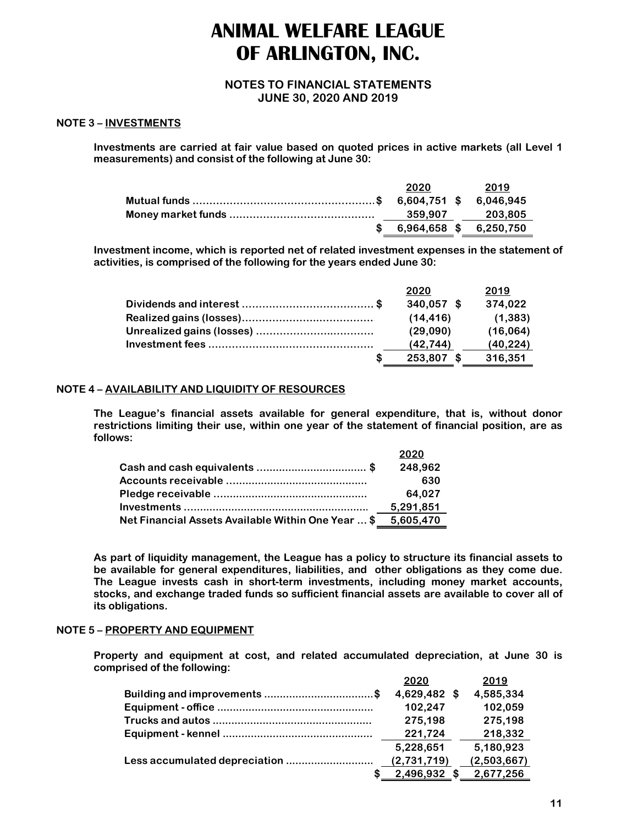#### **NOTES TO FINANCIAL STATEMENTS JUNE 30, 2020 AND 2019**

#### **NOTE 3 – INVESTMENTS**

**Investments are carried at fair value based on quoted prices in active markets (all Level 1 measurements) and consist of the following at June 30:** 

|                                                               | 2020 | 2019                   |
|---------------------------------------------------------------|------|------------------------|
| Mutual funds ………………………………………………………\$  6,604,751 \$  6,046,945 |      |                        |
|                                                               |      | 359.907 203.805        |
|                                                               |      | 6,964,658 \$ 6,250,750 |

**Investment income, which is reported net of related investment expenses in the statement of activities, is comprised of the following for the years ended June 30:**

| 2020         | 2019      |
|--------------|-----------|
| $340,057$ \$ | 374,022   |
| (14.416)     | (1, 383)  |
| (29.090)     | (16,064)  |
| (42.744)     | (40, 224) |
| 253,807 \$   | 316,351   |

#### **NOTE 4 – AVAILABILITY AND LIQUIDITY OF RESOURCES**

**The League's financial assets available for general expenditure, that is, without donor restrictions limiting their use, within one year of the statement of financial position, are as follows:** 

|                                                              | 2020      |
|--------------------------------------------------------------|-----------|
|                                                              | 248,962   |
|                                                              | 630       |
|                                                              | 64,027    |
|                                                              | 5,291,851 |
| Net Financial Assets Available Within One Year  \$ 5,605,470 |           |

**As part of liquidity management, the League has a policy to structure its financial assets to be available for general expenditures, liabilities, and other obligations as they come due. The League invests cash in short-term investments, including money market accounts, stocks, and exchange traded funds so sufficient financial assets are available to cover all of its obligations.** 

#### **NOTE 5 – PROPERTY AND EQUIPMENT**

**Property and equipment at cost, and related accumulated depreciation, at June 30 is comprised of the following:** 

| 2020         | 2019        |
|--------------|-------------|
| 4,629,482 \$ | 4,585,334   |
| 102,247      | 102,059     |
| 275,198      | 275,198     |
| 221,724      | 218,332     |
| 5,228,651    | 5,180,923   |
| (2,731,719)  | (2,503,667) |
| 2,496,932    | 2,677,256   |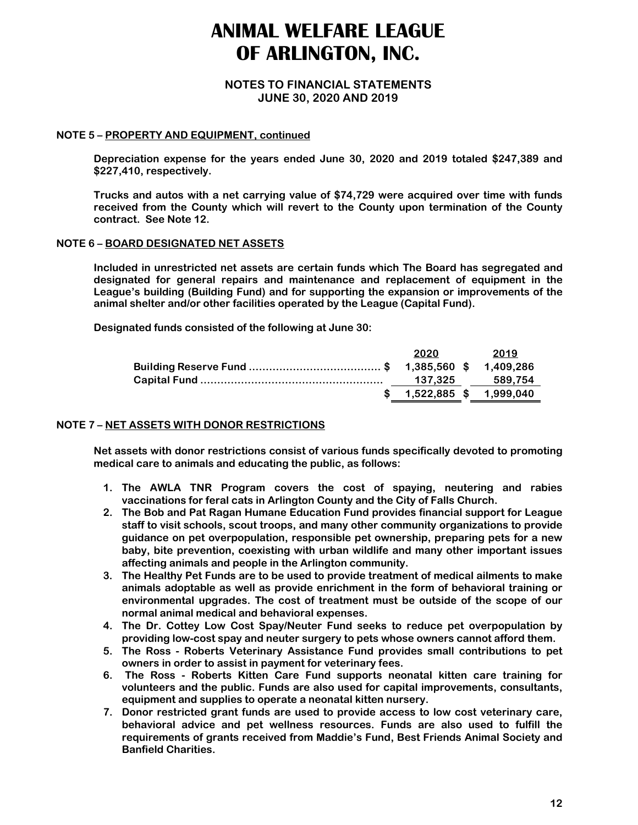#### **NOTES TO FINANCIAL STATEMENTS JUNE 30, 2020 AND 2019**

#### **NOTE 5 – PROPERTY AND EQUIPMENT, continued**

**Depreciation expense for the years ended June 30, 2020 and 2019 totaled \$247,389 and \$227,410, respectively.** 

**Trucks and autos with a net carrying value of \$74,729 were acquired over time with funds received from the County which will revert to the County upon termination of the County contract. See Note 12.** 

#### **NOTE 6 – BOARD DESIGNATED NET ASSETS**

**Included in unrestricted net assets are certain funds which The Board has segregated and designated for general repairs and maintenance and replacement of equipment in the League's building (Building Fund) and for supporting the expansion or improvements of the animal shelter and/or other facilities operated by the League (Capital Fund).** 

**Designated funds consisted of the following at June 30:** 

| 2020                      | 2019            |
|---------------------------|-----------------|
|                           |                 |
|                           | 137.325 589.754 |
| $$1,522,885$ \$ 1,999,040 |                 |

#### **NOTE 7 – NET ASSETS WITH DONOR RESTRICTIONS**

**Net assets with donor restrictions consist of various funds specifically devoted to promoting medical care to animals and educating the public, as follows:** 

- **1. The AWLA TNR Program covers the cost of spaying, neutering and rabies vaccinations for feral cats in Arlington County and the City of Falls Church.**
- **2. The Bob and Pat Ragan Humane Education Fund provides financial support for League staff to visit schools, scout troops, and many other community organizations to provide guidance on pet overpopulation, responsible pet ownership, preparing pets for a new baby, bite prevention, coexisting with urban wildlife and many other important issues affecting animals and people in the Arlington community.**
- **3. The Healthy Pet Funds are to be used to provide treatment of medical ailments to make animals adoptable as well as provide enrichment in the form of behavioral training or environmental upgrades. The cost of treatment must be outside of the scope of our normal animal medical and behavioral expenses.**
- **4. The Dr. Cottey Low Cost Spay/Neuter Fund seeks to reduce pet overpopulation by providing low-cost spay and neuter surgery to pets whose owners cannot afford them.**
- **5. The Ross Roberts Veterinary Assistance Fund provides small contributions to pet owners in order to assist in payment for veterinary fees.**
- **6. The Ross Roberts Kitten Care Fund supports neonatal kitten care training for volunteers and the public. Funds are also used for capital improvements, consultants, equipment and supplies to operate a neonatal kitten nursery.**
- **7. Donor restricted grant funds are used to provide access to low cost veterinary care, behavioral advice and pet wellness resources. Funds are also used to fulfill the requirements of grants received from Maddie's Fund, Best Friends Animal Society and Banfield Charities.**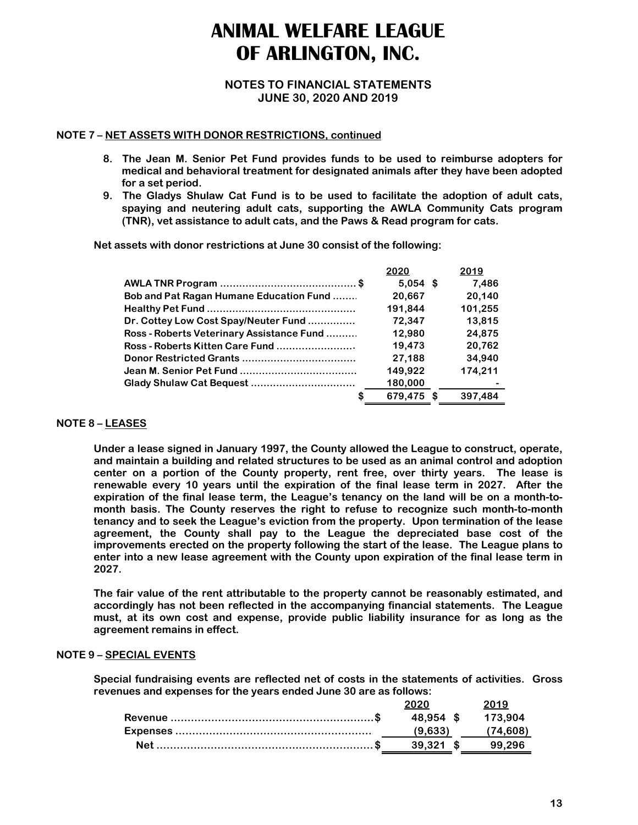### **NOTES TO FINANCIAL STATEMENTS JUNE 30, 2020 AND 2019**

#### **NOTE 7 – NET ASSETS WITH DONOR RESTRICTIONS, continued**

- **8. The Jean M. Senior Pet Fund provides funds to be used to reimburse adopters for medical and behavioral treatment for designated animals after they have been adopted for a set period.**
- **9. The Gladys Shulaw Cat Fund is to be used to facilitate the adoption of adult cats, spaying and neutering adult cats, supporting the AWLA Community Cats program (TNR), vet assistance to adult cats, and the Paws & Read program for cats.**

**Net assets with donor restrictions at June 30 consist of the following:** 

|                                                 | 2020       |   | 2019    |
|-------------------------------------------------|------------|---|---------|
|                                                 | $5.054$ \$ |   | 7.486   |
| <b>Bob and Pat Ragan Humane Education Fund </b> | 20,667     |   | 20.140  |
|                                                 | 191,844    |   | 101,255 |
| Dr. Cottey Low Cost Spay/Neuter Fund            | 72,347     |   | 13,815  |
| Ross - Roberts Veterinary Assistance Fund       | 12,980     |   | 24,875  |
| Ross - Roberts Kitten Care Fund                 | 19,473     |   | 20,762  |
|                                                 | 27,188     |   | 34,940  |
|                                                 | 149,922    |   | 174.211 |
|                                                 | 180,000    |   |         |
|                                                 | 679,475    | S | 397.484 |

### **NOTE 8 – LEASES**

**Under a lease signed in January 1997, the County allowed the League to construct, operate, and maintain a building and related structures to be used as an animal control and adoption center on a portion of the County property, rent free, over thirty years. The lease is renewable every 10 years until the expiration of the final lease term in 2027. After the expiration of the final lease term, the League's tenancy on the land will be on a month-tomonth basis. The County reserves the right to refuse to recognize such month-to-month tenancy and to seek the League's eviction from the property. Upon termination of the lease agreement, the County shall pay to the League the depreciated base cost of the improvements erected on the property following the start of the lease. The League plans to enter into a new lease agreement with the County upon expiration of the final lease term in 2027.** 

**The fair value of the rent attributable to the property cannot be reasonably estimated, and accordingly has not been reflected in the accompanying financial statements. The League must, at its own cost and expense, provide public liability insurance for as long as the agreement remains in effect.** 

#### **NOTE 9 – SPECIAL EVENTS**

**Special fundraising events are reflected net of costs in the statements of activities. Gross revenues and expenses for the years ended June 30 are as follows:** 

| 2020              | 2019                 |
|-------------------|----------------------|
| 48.954 \$ 173.904 |                      |
|                   | $(9,633)$ $(74,608)$ |
| 39,321 \$ 99,296  |                      |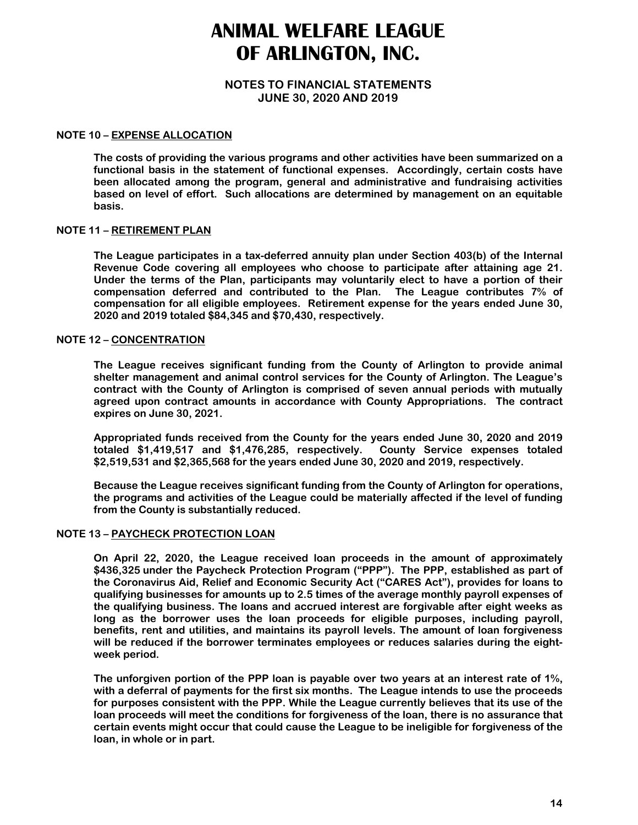#### **NOTES TO FINANCIAL STATEMENTS JUNE 30, 2020 AND 2019**

#### **NOTE 10 – EXPENSE ALLOCATION**

**The costs of providing the various programs and other activities have been summarized on a functional basis in the statement of functional expenses. Accordingly, certain costs have been allocated among the program, general and administrative and fundraising activities based on level of effort. Such allocations are determined by management on an equitable basis.** 

#### **NOTE 11 – RETIREMENT PLAN**

**The League participates in a tax-deferred annuity plan under Section 403(b) of the Internal Revenue Code covering all employees who choose to participate after attaining age 21. Under the terms of the Plan, participants may voluntarily elect to have a portion of their compensation deferred and contributed to the Plan. The League contributes 7% of compensation for all eligible employees. Retirement expense for the years ended June 30, 2020 and 2019 totaled \$84,345 and \$70,430, respectively.** 

#### **NOTE 12 – CONCENTRATION**

**The League receives significant funding from the County of Arlington to provide animal shelter management and animal control services for the County of Arlington. The League's contract with the County of Arlington is comprised of seven annual periods with mutually agreed upon contract amounts in accordance with County Appropriations. The contract expires on June 30, 2021.** 

**Appropriated funds received from the County for the years ended June 30, 2020 and 2019 totaled \$1,419,517 and \$1,476,285, respectively. County Service expenses totaled \$2,519,531 and \$2,365,568 for the years ended June 30, 2020 and 2019, respectively.** 

**Because the League receives significant funding from the County of Arlington for operations, the programs and activities of the League could be materially affected if the level of funding from the County is substantially reduced.**

#### **NOTE 13 – PAYCHECK PROTECTION LOAN**

**On April 22, 2020, the League received loan proceeds in the amount of approximately \$436,325 under the Paycheck Protection Program ("PPP"). The PPP, established as part of the Coronavirus Aid, Relief and Economic Security Act ("CARES Act"), provides for loans to qualifying businesses for amounts up to 2.5 times of the average monthly payroll expenses of the qualifying business. The loans and accrued interest are forgivable after eight weeks as long as the borrower uses the loan proceeds for eligible purposes, including payroll, benefits, rent and utilities, and maintains its payroll levels. The amount of loan forgiveness will be reduced if the borrower terminates employees or reduces salaries during the eightweek period.** 

**The unforgiven portion of the PPP loan is payable over two years at an interest rate of 1%, with a deferral of payments for the first six months. The League intends to use the proceeds for purposes consistent with the PPP. While the League currently believes that its use of the loan proceeds will meet the conditions for forgiveness of the loan, there is no assurance that certain events might occur that could cause the League to be ineligible for forgiveness of the loan, in whole or in part.**